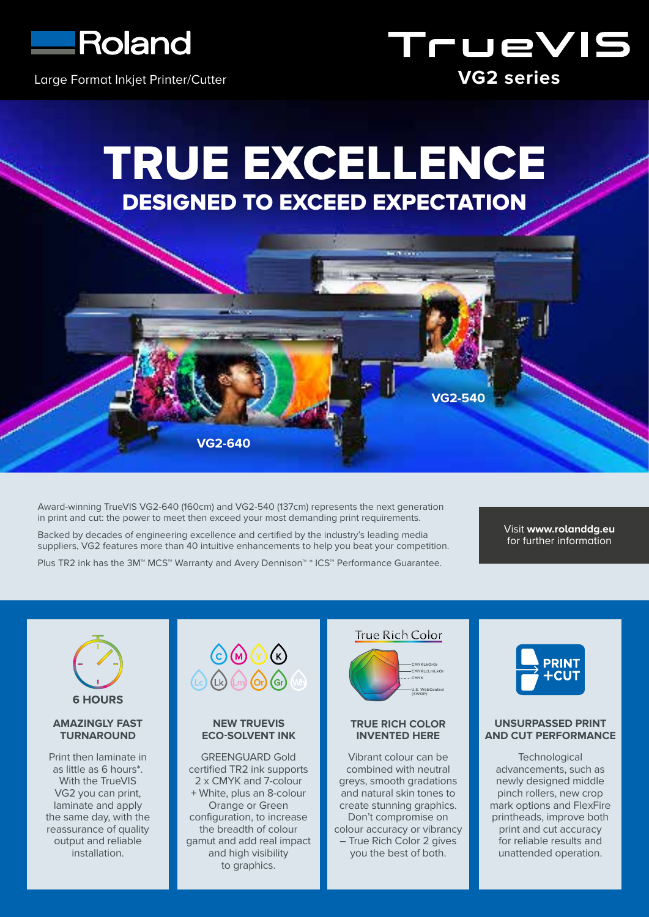

Large Format Inkjet Printer/Cutter



# TRUE EXCELLENCE DESIGNED TO EXCEED EXPECTATION

**VG2-540**

.<br>Maria 1990

Award-winning TrueVIS VG2-640 (160cm) and VG2-540 (137cm) represents the next generation in print and cut: the power to meet then exceed your most demanding print requirements.

**VG2-640**

Backed by decades of engineering excellence and certified by the industry's leading media suppliers, VG2 features more than 40 intuitive enhancements to help you beat your competition. Plus TR2 ink has the 3M™ MCS™ Warranty and Avery Dennison™ \* ICS™ Performance Guarantee.

Visit **www.rolanddg.eu** for further information



## **AMAZINGLY FAST TURNAROUND**

Print then laminate in as little as 6 hours\*. With the TrueVIS VG2 you can print, laminate and apply the same day, with the reassurance of quality output and reliable installation.

| OMO                                    |  |
|----------------------------------------|--|
| $(Lc)$ $(Lk)$ $(m)$ $(r)$ $(r)$ $(kr)$ |  |

## **NEW TRUEVIS ECO-SOLVENT INK**

GREENGUARD Gold certified TR2 ink supports 2 x CMYK and 7-colour + White, plus an 8-colour Orange or Green configuration, to increase the breadth of colour gamut and add real impact and high visibility to graphics.



## **TRUE RICH COLOR INVENTED HERE**

Vibrant colour can be combined with neutral greys, smooth gradations and natural skin tones to create stunning graphics. Don't compromise on colour accuracy or vibrancy – True Rich Color 2 gives you the best of both.



# **UNSURPASSED PRINT AND CUT PERFORMANCE**

**Technological** advancements, such as newly designed middle pinch rollers, new crop mark options and FlexFire printheads, improve both print and cut accuracy for reliable results and unattended operation.